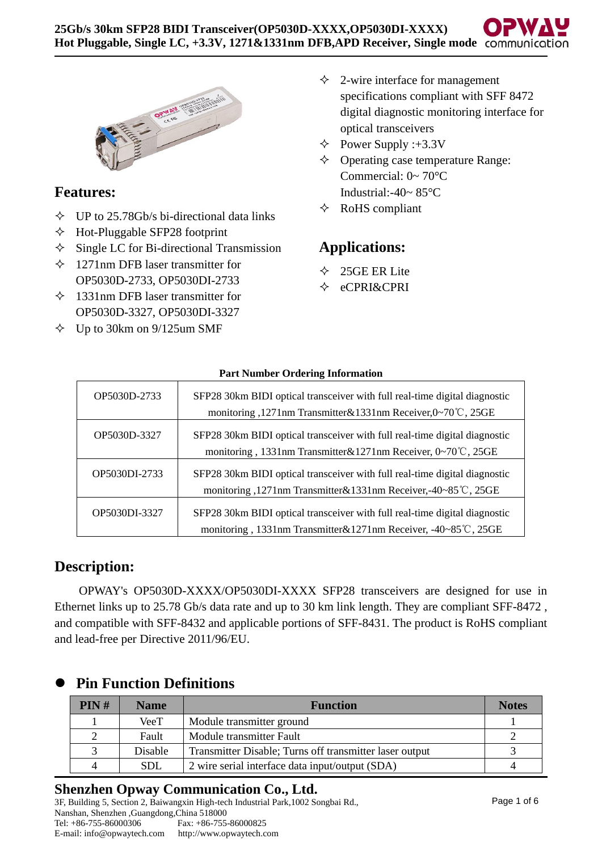

# **Features:**

- $\div$  UP to 25.78Gb/s bi-directional data links
- $\triangle$  Hot-Pluggable SFP28 footprint
- $\Diamond$  Single LC for Bi-directional Transmission
- $\div$  1271nm DFB laser transmitter for OP5030D-2733, OP5030DI-2733
- $\div$  1331nm DFB laser transmitter for OP5030D-3327, OP5030DI-3327
- $\div$  Up to 30km on 9/125um SMF
- $\triangle$  2-wire interface for management specifications compliant with SFF 8472 digital diagnostic monitoring interface for optical transceivers
- $\triangle$  Power Supply :+3.3V
- $\Diamond$  Operating case temperature Range: Commercial: 0~ 70°C Industrial:-40~ 85°C
- $\triangle$  RoHS compliant

# **Applications:**

- $\div$  25GE ER Lite
- eCPRI&CPRI

| OP5030D-2733  | SFP28 30km BIDI optical transceiver with full real-time digital diagnostic<br>monitoring ,1271nm Transmitter&1331nm Receiver,0∼70 °C, 25GE   |
|---------------|----------------------------------------------------------------------------------------------------------------------------------------------|
| OP5030D-3327  | SFP28 30km BIDI optical transceiver with full real-time digital diagnostic<br>monitoring, 1331nm Transmitter&1271nm Receiver, 0~70℃, 25GE    |
| OP5030DI-2733 | SFP28 30km BIDI optical transceiver with full real-time digital diagnostic<br>monitoring ,1271nm Transmitter&1331nm Receiver,-40~85℃, 25GE   |
| OP5030DI-3327 | SFP28 30km BIDI optical transceiver with full real-time digital diagnostic<br>monitoring, 1331nm Transmitter&1271nm Receiver, -40~85°C, 25GE |

#### **Part Number Ordering Information**

## **Description:**

OPWAY's OP5030D-XXXX/OP5030DI-XXXX SFP28 transceivers are designed for use in Ethernet links up to 25.78 Gb/s data rate and up to 30 km link length. They are compliant SFF-8472 , and compatible with SFF-8432 and applicable portions of SFF-8431. The product is RoHS compliant and lead-free per Directive 2011/96/EU.

| PIN#      | <b>Name</b> | <b>Function</b>                                         | <b>Notes</b> |
|-----------|-------------|---------------------------------------------------------|--------------|
|           | VeeT        | Module transmitter ground                               |              |
|           | Fault       | Module transmitter Fault                                |              |
| $\bigcap$ | Disable     | Transmitter Disable; Turns off transmitter laser output |              |
| 4         | <b>SDL</b>  | 2 wire serial interface data input/output (SDA)         |              |

## ⚫ **Pin Function Definitions**

### **Shenzhen Opway Communication Co., Ltd.**

3F, Building 5, Section 2, Baiwangxin High-tech Industrial Park,1002 Songbai Rd., Nanshan, Shenzhen ,Guangdong,China 518000<br>Tel: +86-755-86000306 Fax: +86-755 Fax: +86-755-86000825 E-mail: info@opwaytech.com http://www.opwaytech.com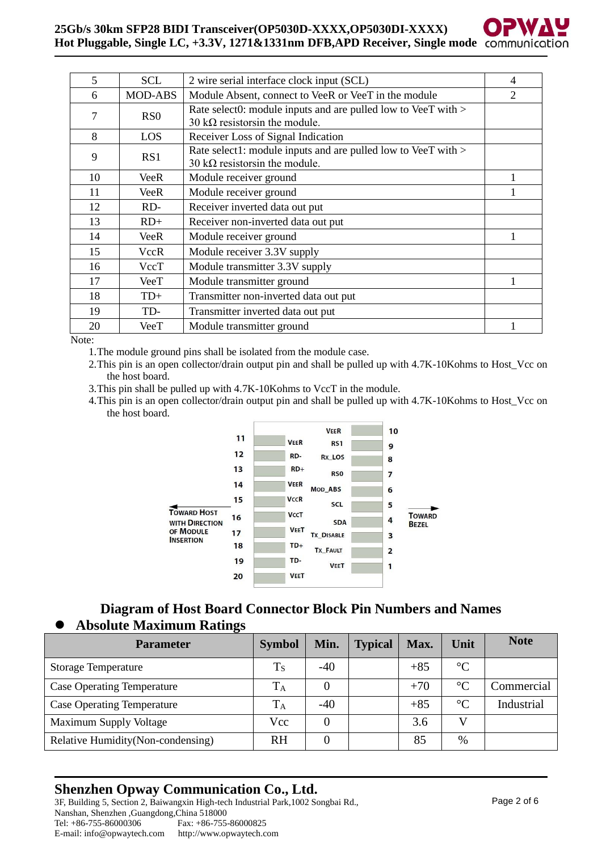#### **25Gb/s 30km SFP28 BIDI Transceiver(OP5030D-XXXX,OP5030DI-XXXX) Hot Pluggable, Single LC, +3.3V, 1271&1331nm DFB,APD Receiver, Single mode**

| 5  | <b>SCL</b>       | 2 wire serial interface clock input (SCL)                                                               | 4              |
|----|------------------|---------------------------------------------------------------------------------------------------------|----------------|
| 6  | <b>MOD-ABS</b>   | Module Absent, connect to VeeR or VeeT in the module                                                    | $\overline{2}$ |
| 7  | R <sub>S</sub> O | Rate select0: module inputs and are pulled low to VeeT with ><br>30 k $\Omega$ resistors in the module. |                |
| 8  | LOS              | Receiver Loss of Signal Indication                                                                      |                |
| 9  | RS1              | Rate select1: module inputs and are pulled low to VeeT with ><br>30 k $\Omega$ resistors in the module. |                |
| 10 | VeeR             | Module receiver ground                                                                                  |                |
| 11 | VeeR             | Module receiver ground                                                                                  |                |
| 12 | RD-              | Receiver inverted data out put                                                                          |                |
| 13 | $RD+$            | Receiver non-inverted data out put                                                                      |                |
| 14 | <b>VeeR</b>      | Module receiver ground                                                                                  |                |
| 15 | <b>VccR</b>      | Module receiver 3.3V supply                                                                             |                |
| 16 | VccT             | Module transmitter 3.3V supply                                                                          |                |
| 17 | VeeT             | Module transmitter ground                                                                               |                |
| 18 | $TD+$            | Transmitter non-inverted data out put                                                                   |                |
| 19 | TD-              | Transmitter inverted data out put                                                                       |                |
| 20 | VeeT             | Module transmitter ground                                                                               |                |

Note:

- 1.The module ground pins shall be isolated from the module case.
- 2. This pin is an open collector/drain output pin and shall be pulled up with 4.7K-10Kohms to Host Vcc on the host board.
- 3.This pin shall be pulled up with 4.7K-10Kohms to VccT in the module.
- 4.This pin is an open collector/drain output pin and shall be pulled up with 4.7K-10Kohms to Host\_Vcc on the host board.



#### **Diagram of Host Board Connector Block Pin Numbers and Names** ⚫ **Absolute Maximum Ratings**

| <b>Parameter</b>                   | <b>Symbol</b> | Min.  | <b>Typical</b> | Max.  | Unit            | <b>Note</b> |
|------------------------------------|---------------|-------|----------------|-------|-----------------|-------------|
| <b>Storage Temperature</b>         | $T_S$         | $-40$ |                | $+85$ | $\rm ^{\circ}C$ |             |
| <b>Case Operating Temperature</b>  | $\rm T_A$     |       |                | $+70$ | $\rm ^{\circ}C$ | Commercial  |
| <b>Case Operating Temperature</b>  | $\rm T_A$     | $-40$ |                | $+85$ | $\Gamma$        | Industrial  |
| <b>Maximum Supply Voltage</b>      | Vcc           |       |                | 3.6   |                 |             |
| Relative Humidity (Non-condensing) | <b>RH</b>     |       |                | 85    | $\%$            |             |

### **Shenzhen Opway Communication Co., Ltd.**

3F, Building 5, Section 2, Baiwangxin High-tech Industrial Park,1002 Songbai Rd., Nanshan, Shenzhen ,Guangdong,China 518000 Fax: +86-755-86000825 E-mail: info@opwaytech.com http://www.opwaytech.com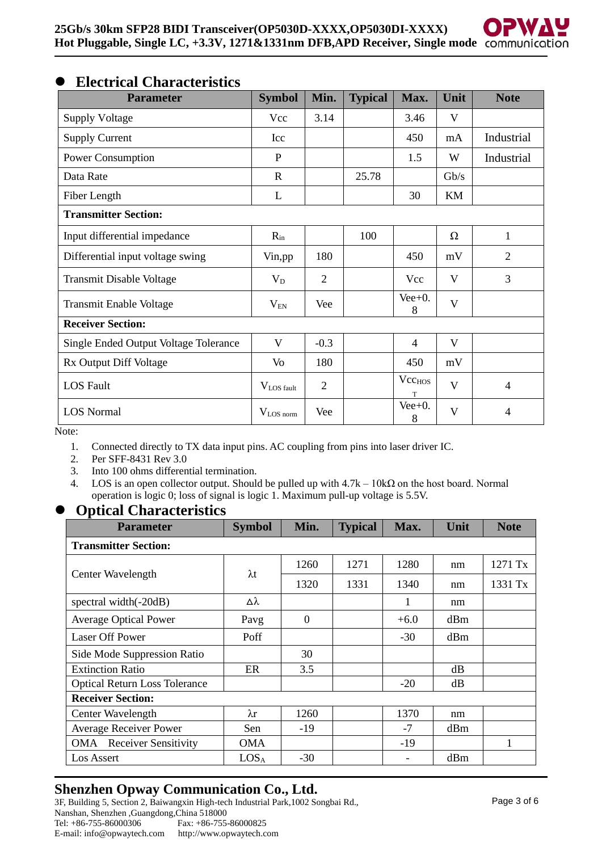### ⚫ **Electrical Characteristics**

| <b>Parameter</b>                             | <b>Symbol</b>      | Min.           | <b>Typical</b> | Max.                    | Unit | <b>Note</b>    |
|----------------------------------------------|--------------------|----------------|----------------|-------------------------|------|----------------|
| <b>Supply Voltage</b>                        | Vcc                | 3.14           |                | 3.46                    | V    |                |
| <b>Supply Current</b>                        | Icc                |                |                | 450                     | mA   | Industrial     |
| Power Consumption                            | P                  |                |                | 1.5                     | W    | Industrial     |
| Data Rate                                    | $\mathbf R$        |                | 25.78          |                         | Gb/s |                |
| Fiber Length                                 | L                  |                |                | 30                      | KM   |                |
| <b>Transmitter Section:</b>                  |                    |                |                |                         |      |                |
| Input differential impedance                 | $R_{in}$           |                | 100            |                         | Ω    | 1              |
| Differential input voltage swing             | Vin, pp            | 180            |                | 450                     | mV   | $\overline{2}$ |
| Transmit Disable Voltage                     | $V_D$              | $\overline{2}$ |                | Vcc                     | V    | 3              |
| Transmit Enable Voltage                      | $V_{EN}$           | Vee            |                | $Vee+0$ .<br>8          | V    |                |
| <b>Receiver Section:</b>                     |                    |                |                |                         |      |                |
| <b>Single Ended Output Voltage Tolerance</b> | V                  | $-0.3$         |                | 4                       | V    |                |
| Rx Output Diff Voltage                       | Vo                 | 180            |                | 450                     | mV   |                |
| <b>LOS</b> Fault                             | $V_{LOS \, fault}$ | $\overline{2}$ |                | Vcc <sub>HOS</sub><br>T | V    | $\overline{4}$ |
| <b>LOS Normal</b>                            | $V_{LOS\,norm}$    | Vee            |                | $Vee+0$ .<br>8          | V    | 4              |

Note:

- 1. Connected directly to TX data input pins. AC coupling from pins into laser driver IC.
- 2. Per SFF-8431 Rev 3.0<br>3. Into 100 ohms differen
- Into 100 ohms differential termination.
- 4. LOS is an open collector output. Should be pulled up with  $4.7k 10k\Omega$  on the host board. Normal operation is logic 0; loss of signal is logic 1. Maximum pull-up voltage is 5.5V.

#### ⚫ **Optical Characteristics**

| <b>Parameter</b>                     | <b>Symbol</b>    | Min.           | <b>Typical</b> | Max.   | Unit | <b>Note</b> |  |  |
|--------------------------------------|------------------|----------------|----------------|--------|------|-------------|--|--|
| <b>Transmitter Section:</b>          |                  |                |                |        |      |             |  |  |
|                                      |                  | 1260           | 1271           | 1280   | nm   | 1271 Tx     |  |  |
| Center Wavelength                    | $\lambda t$      | 1320           | 1331           | 1340   | nm   | 1331 Tx     |  |  |
| spectral width(-20dB)                | Δλ               |                |                | 1      | nm   |             |  |  |
| <b>Average Optical Power</b>         | Pavg             | $\overline{0}$ |                | $+6.0$ | dBm  |             |  |  |
| <b>Laser Off Power</b>               | Poff             |                |                | $-30$  | dBm  |             |  |  |
| Side Mode Suppression Ratio          |                  | 30             |                |        |      |             |  |  |
| <b>Extinction Ratio</b>              | ER               | 3.5            |                |        | dВ   |             |  |  |
| <b>Optical Return Loss Tolerance</b> |                  |                |                | $-20$  | dB   |             |  |  |
| <b>Receiver Section:</b>             |                  |                |                |        |      |             |  |  |
| Center Wavelength                    | $\lambda$ r      | 1260           |                | 1370   | nm   |             |  |  |
| <b>Average Receiver Power</b>        | Sen              | $-19$          |                | $-7$   | dBm  |             |  |  |
| <b>OMA</b> Receiver Sensitivity      | OMA              |                |                | -19    |      | 1           |  |  |
| Los Assert                           | LOS <sub>A</sub> | $-30$          |                |        | dBm  |             |  |  |

### **Shenzhen Opway Communication Co., Ltd.**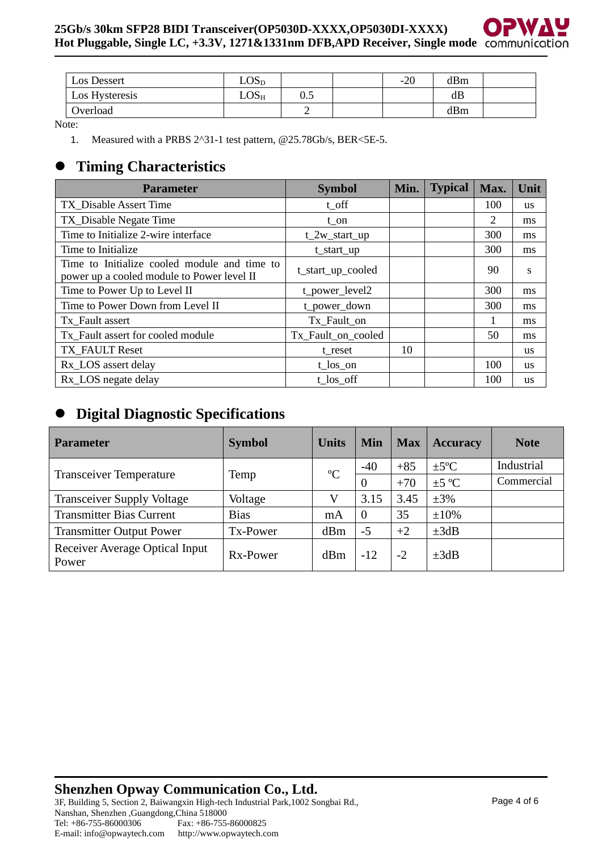| Los Dessert    | $\text{LOS}_{\text{D}}$ |     | $-20$ | dBm |  |
|----------------|-------------------------|-----|-------|-----|--|
| Los Hysteresis | $\rm LOS_{H}$           | 0.5 |       | dB  |  |
| Overload       |                         | ∸   |       | dBm |  |

Note:

1. Measured with a PRBS 2^31-1 test pattern, @25.78Gb/s, BER<5E-5.

# ⚫ **Timing Characteristics**

| <b>Parameter</b>                                                                           | <b>Symbol</b>      | Min. | <b>Typical</b> | Max. | Unit      |
|--------------------------------------------------------------------------------------------|--------------------|------|----------------|------|-----------|
| TX Disable Assert Time                                                                     | t off              |      |                | 100  | <b>us</b> |
| TX_Disable Negate Time                                                                     | t on               |      |                | 2    | ms        |
| Time to Initialize 2-wire interface                                                        | $t_2w_start_up$    |      |                | 300  | ms        |
| Time to Initialize.                                                                        | t_start_up         |      |                | 300  | ms        |
| Time to Initialize cooled module and time to<br>power up a cooled module to Power level II | t_start_up_cooled  |      |                | 90   | S         |
| Time to Power Up to Level II                                                               | t_power_level2     |      |                | 300  | ms        |
| Time to Power Down from Level II                                                           | t_power_down       |      |                | 300  | ms        |
| Tx Fault assert                                                                            | Tx_Fault_on        |      |                |      | ms        |
| Tx Fault assert for cooled module                                                          | Tx_Fault_on_cooled |      |                | 50   | ms        |
| TX FAULT Reset                                                                             | t reset            | 10   |                |      | <b>us</b> |
| Rx LOS assert delay                                                                        | $t_{los\_on}$      |      |                | 100  | <b>us</b> |
| Rx_LOS negate delay                                                                        | t los off          |      |                | 100  | <b>us</b> |

# ⚫ **Digital Diagnostic Specifications**

| <b>Parameter</b>                        | <b>Symbol</b> | <b>Units</b> | <b>Min</b> | <b>Max</b> | <b>Accuracy</b>  | <b>Note</b> |
|-----------------------------------------|---------------|--------------|------------|------------|------------------|-------------|
|                                         |               | $\rm ^{o}C$  | $-40$      | $+85$      | $\pm 5^{\circ}C$ | Industrial  |
| <b>Transceiver Temperature</b>          | Temp          |              | $\Omega$   | $+70$      | $\pm 5$ °C       | Commercial  |
| <b>Transceiver Supply Voltage</b>       | Voltage       |              | 3.15       | 3.45       | $\pm 3\%$        |             |
| <b>Transmitter Bias Current</b>         | <b>Bias</b>   | mA           | $\Omega$   | 35         | $\pm 10\%$       |             |
| <b>Transmitter Output Power</b>         | Tx-Power      | dBm          | $-5$       | $+2$       | $\pm 3dB$        |             |
| Receiver Average Optical Input<br>Power | Rx-Power      | dBm          | $-12$      | $-2$       | $\pm 3dB$        |             |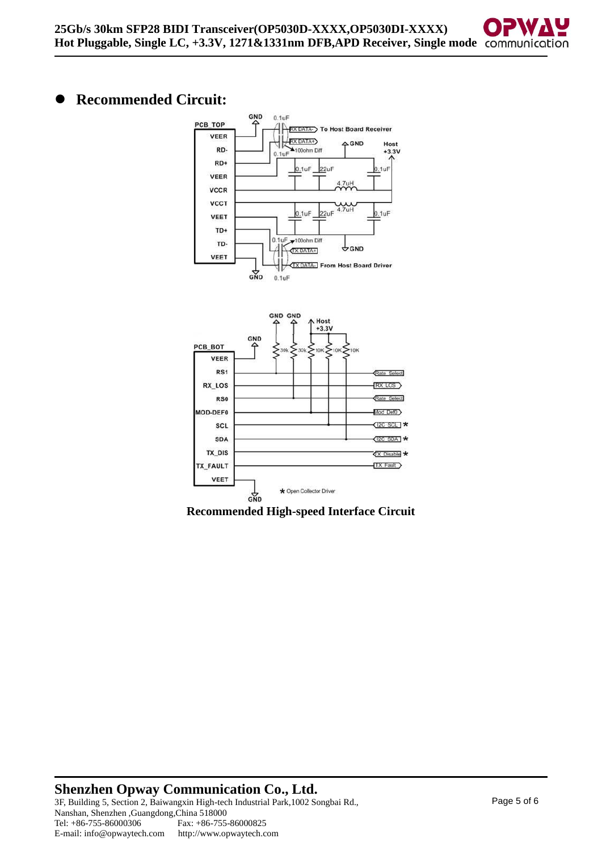# ⚫ **Recommended Circuit:**